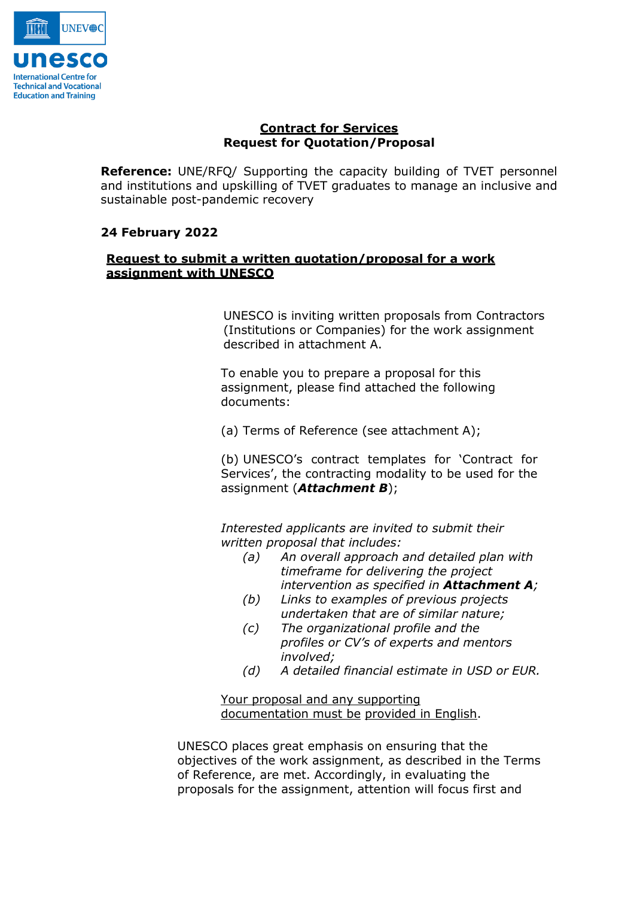

# **Contract for Services Request for Quotation/Proposal**

**Reference:** UNE/RFQ/ Supporting the capacity building of TVET personnel and institutions and upskilling of TVET graduates to manage an inclusive and sustainable post-pandemic recovery

# **24 February 2022**

# **Request to submit a written quotation/proposal for a work assignment with UNESCO**

UNESCO is inviting written proposals from Contractors (Institutions or Companies) for the work assignment described in attachment A.

To enable you to prepare a proposal for this assignment, please find attached the following documents:

(a) Terms of Reference (see attachment A);

(b) UNESCO's contract templates for 'Contract for Services', the contracting modality to be used for the assignment (*Attachment B*);

*Interested applicants are invited to submit their written proposal that includes:*

- *(a) An overall approach and detailed plan with timeframe for delivering the project intervention as specified in Attachment A;*
- *(b) Links to examples of previous projects undertaken that are of similar nature;*
- *(c) The organizational profile and the profiles or CV's of experts and mentors involved;*
- *(d) A detailed financial estimate in USD or EUR.*

Your proposal and any supporting documentation must be provided in English.

UNESCO places great emphasis on ensuring that the objectives of the work assignment, as described in the Terms of Reference, are met. Accordingly, in evaluating the proposals for the assignment, attention will focus first and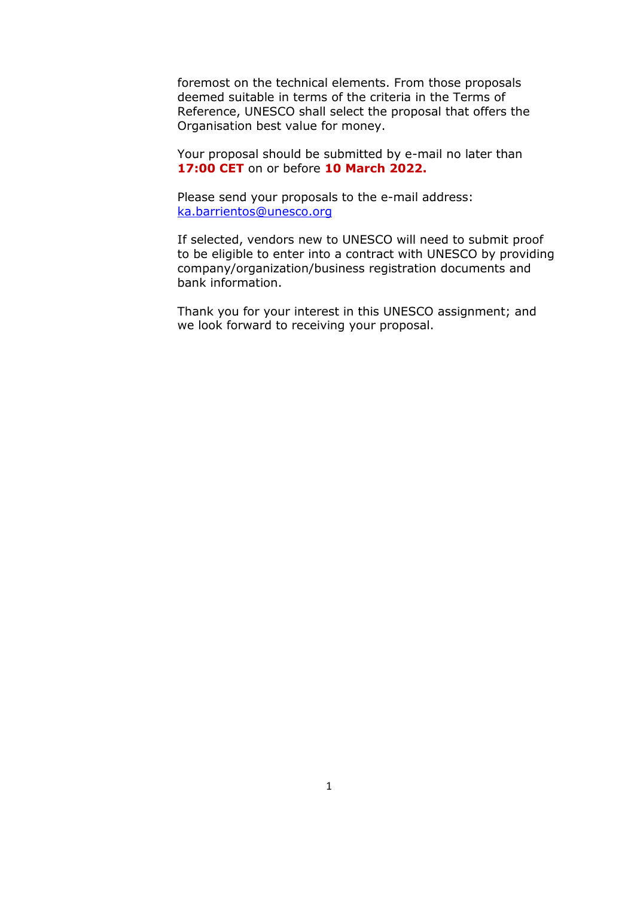foremost on the technical elements. From those proposals deemed suitable in terms of the criteria in the Terms of Reference, UNESCO shall select the proposal that offers the Organisation best value for money.

Your proposal should be submitted by e-mail no later than **17:00 CET** on or before **10 March 2022.**

Please send your proposals to the e-mail address: [ka.barrientos@unesco.org](mailto:ka.barrientos@unesco.org)

If selected, vendors new to UNESCO will need to submit proof to be eligible to enter into a contract with UNESCO by providing company/organization/business registration documents and bank information.

Thank you for your interest in this UNESCO assignment; and we look forward to receiving your proposal.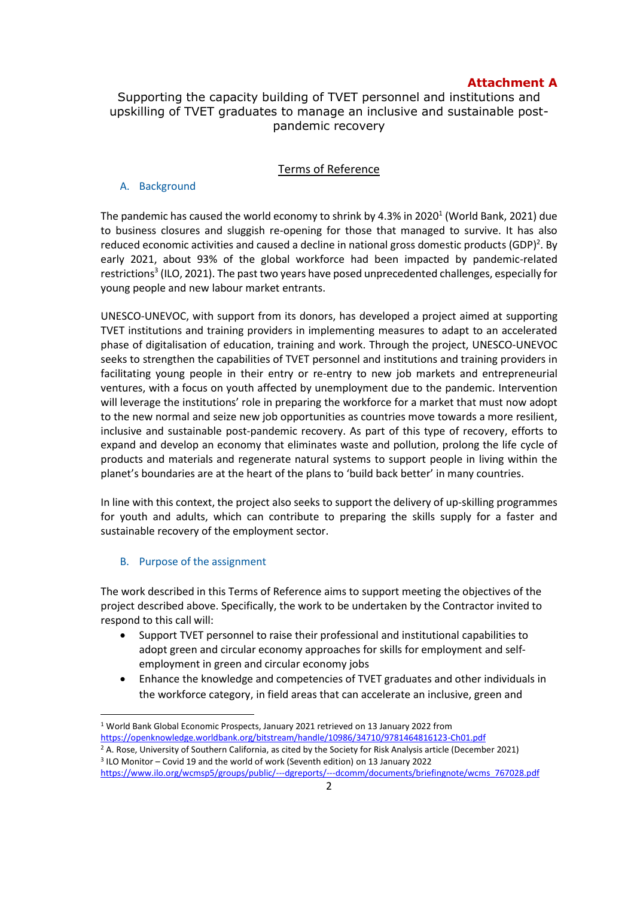## **Attachment A**

# Supporting the capacity building of TVET personnel and institutions and upskilling of TVET graduates to manage an inclusive and sustainable postpandemic recovery

### Terms of Reference

### A. Background

The pandemic has caused the world economy to shrink by 4.3% in 2020 $^{\rm 1}$  (World Bank, 2021) due to business closures and sluggish re-opening for those that managed to survive. It has also reduced economic activities and caused a decline in national gross domestic products (GDP)<sup>2</sup>. By early 2021, about 93% of the global workforce had been impacted by pandemic-related restrictions<sup>3</sup> (ILO, 2021). The past two years have posed unprecedented challenges, especially for young people and new labour market entrants.

UNESCO-UNEVOC, with support from its donors, has developed a project aimed at supporting TVET institutions and training providers in implementing measures to adapt to an accelerated phase of digitalisation of education, training and work. Through the project, UNESCO-UNEVOC seeks to strengthen the capabilities of TVET personnel and institutions and training providers in facilitating young people in their entry or re-entry to new job markets and entrepreneurial ventures, with a focus on youth affected by unemployment due to the pandemic. Intervention will leverage the institutions' role in preparing the workforce for a market that must now adopt to the new normal and seize new job opportunities as countries move towards a more resilient, inclusive and sustainable post-pandemic recovery. As part of this type of recovery, efforts to expand and develop an economy that eliminates waste and pollution, prolong the life cycle of products and materials and regenerate natural systems to support people in living within the planet's boundaries are at the heart of the plans to 'build back better' in many countries.

In line with this context, the project also seeks to support the delivery of up-skilling programmes for youth and adults, which can contribute to preparing the skills supply for a faster and sustainable recovery of the employment sector.

### B. Purpose of the assignment

The work described in this Terms of Reference aims to support meeting the objectives of the project described above. Specifically, the work to be undertaken by the Contractor invited to respond to this call will:

- Support TVET personnel to raise their professional and institutional capabilities to adopt green and circular economy approaches for skills for employment and selfemployment in green and circular economy jobs
- Enhance the knowledge and competencies of TVET graduates and other individuals in the workforce category, in field areas that can accelerate an inclusive, green and

 $\overline{\phantom{a}}$ <sup>1</sup> World Bank Global Economic Prospects, January 2021 retrieved on 13 January 2022 from <https://openknowledge.worldbank.org/bitstream/handle/10986/34710/9781464816123-Ch01.pdf> <sup>2</sup> A. Rose, University of Southern California, as cited by the Society for Risk Analysis article (December 2021)

<sup>3</sup> ILO Monitor – Covid 19 and the world of work (Seventh edition) on 13 January 2022 [https://www.ilo.org/wcmsp5/groups/public/---dgreports/---dcomm/documents/briefingnote/wcms\\_767028.pdf](https://www.ilo.org/wcmsp5/groups/public/---dgreports/---dcomm/documents/briefingnote/wcms_767028.pdf)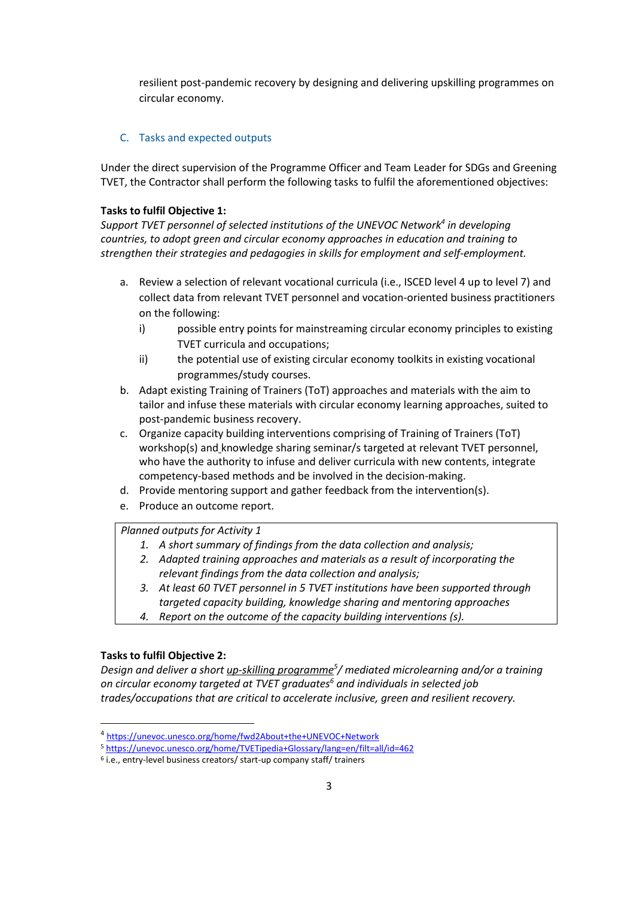resilient post-pandemic recovery by designing and delivering upskilling programmes on circular economy.

## C. Tasks and expected outputs

Under the direct supervision of the Programme Officer and Team Leader for SDGs and Greening TVET, the Contractor shall perform the following tasks to fulfil the aforementioned objectives:

### **Tasks to fulfil Objective 1:**

*Support TVET personnel of selected institutions of the UNEVOC Network<sup>4</sup> in developing countries, to adopt green and circular economy approaches in education and training to strengthen their strategies and pedagogies in skills for employment and self-employment.*

- a. Review a selection of relevant vocational curricula (i.e., ISCED level 4 up to level 7) and collect data from relevant TVET personnel and vocation-oriented business practitioners on the following:
	- i) possible entry points for mainstreaming circular economy principles to existing TVET curricula and occupations;
	- ii) the potential use of existing circular economy toolkits in existing vocational programmes/study courses.
- b. Adapt existing Training of Trainers (ToT) approaches and materials with the aim to tailor and infuse these materials with circular economy learning approaches, suited to post-pandemic business recovery.
- c. Organize capacity building interventions comprising of Training of Trainers (ToT) workshop(s) and knowledge sharing seminar/s targeted at relevant TVET personnel, who have the authority to infuse and deliver curricula with new contents, integrate competency-based methods and be involved in the decision-making.
- d. Provide mentoring support and gather feedback from the intervention(s).
- e. Produce an outcome report.

*Planned outputs for Activity 1*

- *1. A short summary of findings from the data collection and analysis;*
- *2. Adapted training approaches and materials as a result of incorporating the relevant findings from the data collection and analysis;*
- *3. At least 60 TVET personnel in 5 TVET institutions have been supported through targeted capacity building, knowledge sharing and mentoring approaches*
- *4. Report on the outcome of the capacity building interventions (s).*

### **Tasks to fulfil Objective 2:**

 $\overline{\phantom{a}}$ 

*Design and deliver a short up-skilling programme<sup>5</sup> / mediated microlearning and/or a training on circular economy targeted at TVET graduates<sup>6</sup> and individuals in selected job trades/occupations that are critical to accelerate inclusive, green and resilient recovery.*

<sup>4</sup> <https://unevoc.unesco.org/home/fwd2About+the+UNEVOC+Network>

<sup>5</sup> <https://unevoc.unesco.org/home/TVETipedia+Glossary/lang=en/filt=all/id=462>

<sup>6</sup> i.e., entry-level business creators/ start-up company staff/ trainers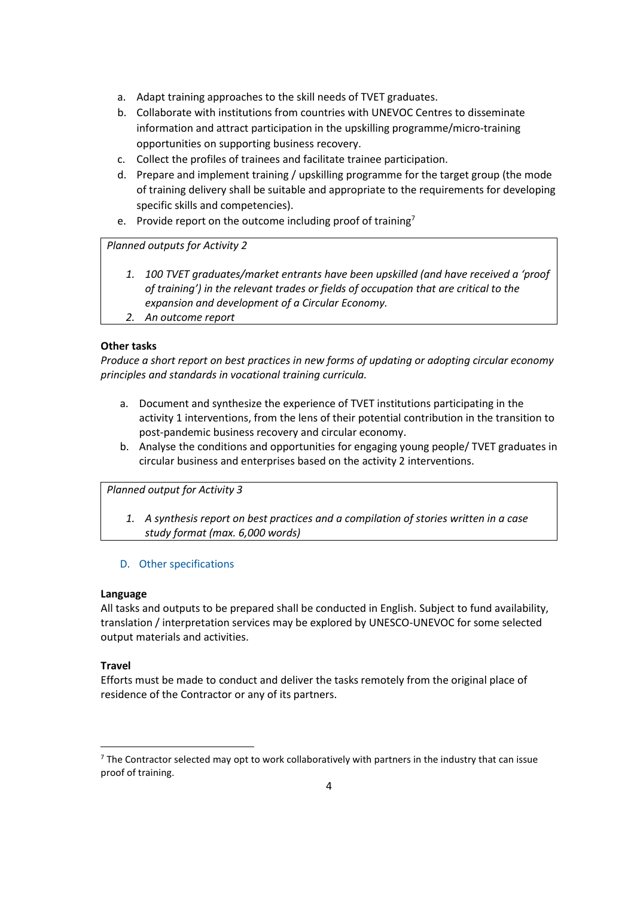- a. Adapt training approaches to the skill needs of TVET graduates.
- b. Collaborate with institutions from countries with UNEVOC Centres to disseminate information and attract participation in the upskilling programme/micro-training opportunities on supporting business recovery.
- c. Collect the profiles of trainees and facilitate trainee participation.
- d. Prepare and implement training / upskilling programme for the target group (the mode of training delivery shall be suitable and appropriate to the requirements for developing specific skills and competencies).
- e. Provide report on the outcome including proof of training<sup>7</sup>

*Planned outputs for Activity 2*

- *1. 100 TVET graduates/market entrants have been upskilled (and have received a 'proof of training') in the relevant trades or fields of occupation that are critical to the expansion and development of a Circular Economy.*
- *2. An outcome report*

## **Other tasks**

*Produce a short report on best practices in new forms of updating or adopting circular economy principles and standards in vocational training curricula.*

- a. Document and synthesize the experience of TVET institutions participating in the activity 1 interventions, from the lens of their potential contribution in the transition to post-pandemic business recovery and circular economy.
- b. Analyse the conditions and opportunities for engaging young people/ TVET graduates in circular business and enterprises based on the activity 2 interventions.

*Planned output for Activity 3*

*1. A synthesis report on best practices and a compilation of stories written in a case study format (max. 6,000 words)* 

## D. Other specifications

### **Language**

All tasks and outputs to be prepared shall be conducted in English. Subject to fund availability, translation / interpretation services may be explored by UNESCO-UNEVOC for some selected output materials and activities.

### **Travel**

 $\overline{a}$ 

Efforts must be made to conduct and deliver the tasks remotely from the original place of residence of the Contractor or any of its partners.

 $7$  The Contractor selected may opt to work collaboratively with partners in the industry that can issue proof of training.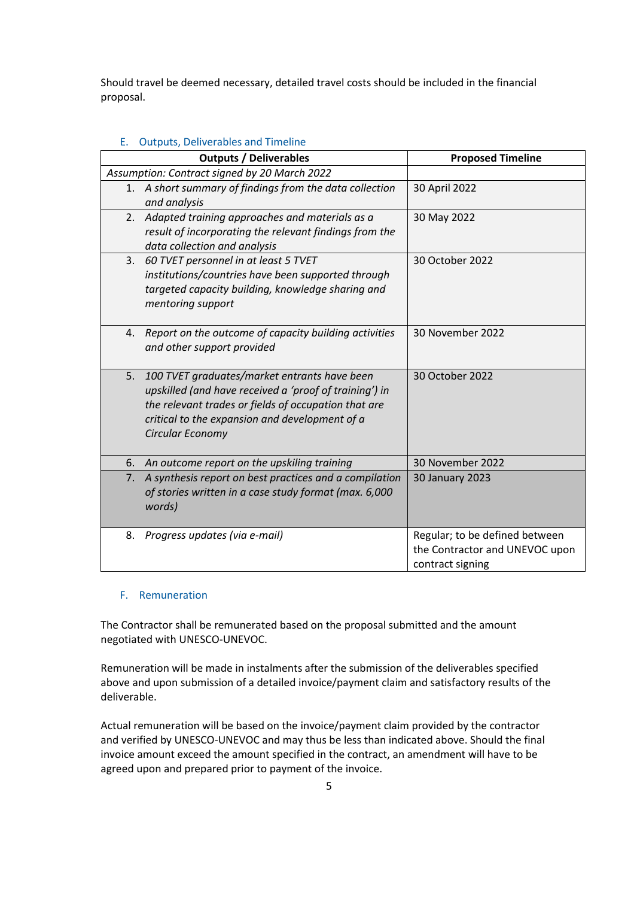Should travel be deemed necessary, detailed travel costs should be included in the financial proposal.

| <b>Production</b> Deliverables and Timeline                                                                                                                                                                                                |                                                                                      |  |  |  |  |  |  |  |
|--------------------------------------------------------------------------------------------------------------------------------------------------------------------------------------------------------------------------------------------|--------------------------------------------------------------------------------------|--|--|--|--|--|--|--|
| <b>Outputs / Deliverables</b>                                                                                                                                                                                                              | <b>Proposed Timeline</b>                                                             |  |  |  |  |  |  |  |
| Assumption: Contract signed by 20 March 2022                                                                                                                                                                                               |                                                                                      |  |  |  |  |  |  |  |
| 1. A short summary of findings from the data collection<br>and analysis                                                                                                                                                                    | 30 April 2022                                                                        |  |  |  |  |  |  |  |
| 2.<br>Adapted training approaches and materials as a<br>result of incorporating the relevant findings from the<br>data collection and analysis                                                                                             | 30 May 2022                                                                          |  |  |  |  |  |  |  |
| 60 TVET personnel in at least 5 TVET<br>3.<br>institutions/countries have been supported through<br>targeted capacity building, knowledge sharing and<br>mentoring support                                                                 | 30 October 2022                                                                      |  |  |  |  |  |  |  |
| Report on the outcome of capacity building activities<br>4.<br>and other support provided                                                                                                                                                  | 30 November 2022                                                                     |  |  |  |  |  |  |  |
| 5.<br>100 TVET graduates/market entrants have been<br>upskilled (and have received a 'proof of training') in<br>the relevant trades or fields of occupation that are<br>critical to the expansion and development of a<br>Circular Economy | 30 October 2022                                                                      |  |  |  |  |  |  |  |
| An outcome report on the upskiling training<br>6.                                                                                                                                                                                          | 30 November 2022                                                                     |  |  |  |  |  |  |  |
| A synthesis report on best practices and a compilation<br>7.<br>of stories written in a case study format (max. 6,000<br>words)                                                                                                            | <b>30 January 2023</b>                                                               |  |  |  |  |  |  |  |
| Progress updates (via e-mail)<br>8.                                                                                                                                                                                                        | Regular; to be defined between<br>the Contractor and UNEVOC upon<br>contract signing |  |  |  |  |  |  |  |

## E. Outputs, Deliverables and Timeline

#### F. Remuneration

The Contractor shall be remunerated based on the proposal submitted and the amount negotiated with UNESCO-UNEVOC.

Remuneration will be made in instalments after the submission of the deliverables specified above and upon submission of a detailed invoice/payment claim and satisfactory results of the deliverable.

Actual remuneration will be based on the invoice/payment claim provided by the contractor and verified by UNESCO-UNEVOC and may thus be less than indicated above. Should the final invoice amount exceed the amount specified in the contract, an amendment will have to be agreed upon and prepared prior to payment of the invoice.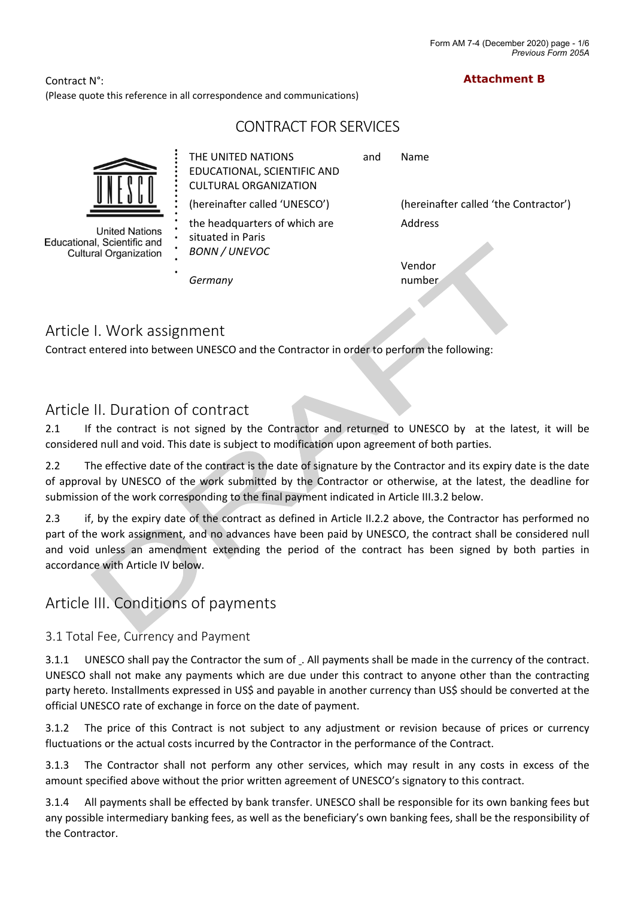**Attachment B**

Contract N°: (Please quote this reference in all correspondence and communications)

# CONTRACT FOR SERVICES



*Germany*

and Name

(hereinafter called 'UNESCO') (hereinafter called 'the Contractor')

Vendor number

# Article I. Work assignment

Contract entered into between UNESCO and the Contractor in order to perform the following:

# Article II. Duration of contract

2.1 If the contract is not signed by the Contractor and returned to UNESCO by at the latest, it will be considered null and void. This date is subject to modification upon agreement of both parties.

2.2 The effective date of the contract is the date of signature by the Contractor and its expiry date is the date of approval by UNESCO of the work submitted by the Contractor or otherwise, at the latest, the deadline for submission of the work corresponding to the final payment indicated in Article III.3.2 below.

2.3 if, by the expiry date of the contract as defined in Article II.2.2 above, the Contractor has performed no part of the work assignment, and no advances have been paid by UNESCO, the contract shall be considered null and void unless an amendment extending the period of the contract has been signed by both parties in accordance with Article IV below.

# Article III. Conditions of payments

# 3.1 Total Fee, Currency and Payment

3.1.1 UNESCO shall pay the Contractor the sum of . All payments shall be made in the currency of the contract. UNESCO shall not make any payments which are due under this contract to anyone other than the contracting party hereto. Installments expressed in US\$ and payable in another currency than US\$ should be converted at the official UNESCO rate of exchange in force on the date of payment.

3.1.2 The price of this Contract is not subject to any adjustment or revision because of prices or currency fluctuations or the actual costs incurred by the Contractor in the performance of the Contract.

3.1.3 The Contractor shall not perform any other services, which may result in any costs in excess of the amount specified above without the prior written agreement of UNESCO's signatory to this contract.

3.1.4 All payments shall be effected by bank transfer. UNESCO shall be responsible for its own banking fees but any possible intermediary banking fees, as well as the beneficiary's own banking fees, shall be the responsibility of the Contractor.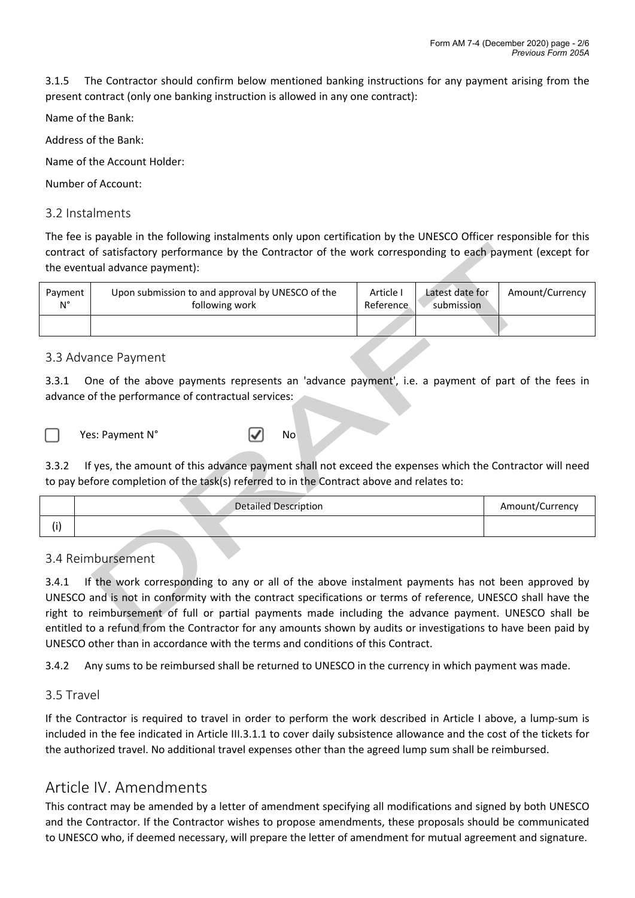3.1.5 The Contractor should confirm below mentioned banking instructions for any payment arising from the present contract (only one banking instruction is allowed in any one contract):

Name of the Bank:

Address of the Bank:

Name of the Account Holder:

Number of Account:

# 3.2 Instalments

The fee is payable in the following instalments only upon certification by the UNESCO Officer responsible for this contract of satisfactory performance by the Contractor of the work corresponding to each payment (except for the eventual advance payment):

| Payment | Upon submission to and approval by UNESCO of the | Article I  | Latest date for | Amount/Currency |
|---------|--------------------------------------------------|------------|-----------------|-----------------|
| N°      | following work                                   | Reference. | submission      |                 |
|         |                                                  |            |                 |                 |

# 3.3 Advance Payment

3.3.1 One of the above payments represents an 'advance payment', i.e. a payment of part of the fees in advance of the performance of contractual services:

Yes: Payment N° <sub>N</sub> No

3.3.2 If yes, the amount of this advance payment shall not exceed the expenses which the Contractor will need to pay before completion of the task(s) referred to in the Contract above and relates to:

|  | <b>Detailed Description</b> | Amount/Currency |
|--|-----------------------------|-----------------|
|  |                             |                 |

# 3.4 Reimbursement

3.4.1 If the work corresponding to any or all of the above instalment payments has not been approved by UNESCO and is not in conformity with the contract specifications or terms of reference, UNESCO shall have the right to reimbursement of full or partial payments made including the advance payment. UNESCO shall be entitled to a refund from the Contractor for any amounts shown by audits or investigations to have been paid by UNESCO other than in accordance with the terms and conditions of this Contract.

3.4.2 Any sums to be reimbursed shall be returned to UNESCO in the currency in which payment was made.

# 3.5 Travel

If the Contractor is required to travel in order to perform the work described in Article I above, a lump-sum is included in the fee indicated in Article III.3.1.1 to cover daily subsistence allowance and the cost of the tickets for the authorized travel. No additional travel expenses other than the agreed lump sum shall be reimbursed.

# Article IV. Amendments

This contract may be amended by a letter of amendment specifying all modifications and signed by both UNESCO and the Contractor. If the Contractor wishes to propose amendments, these proposals should be communicated to UNESCO who, if deemed necessary, will prepare the letter of amendment for mutual agreement and signature.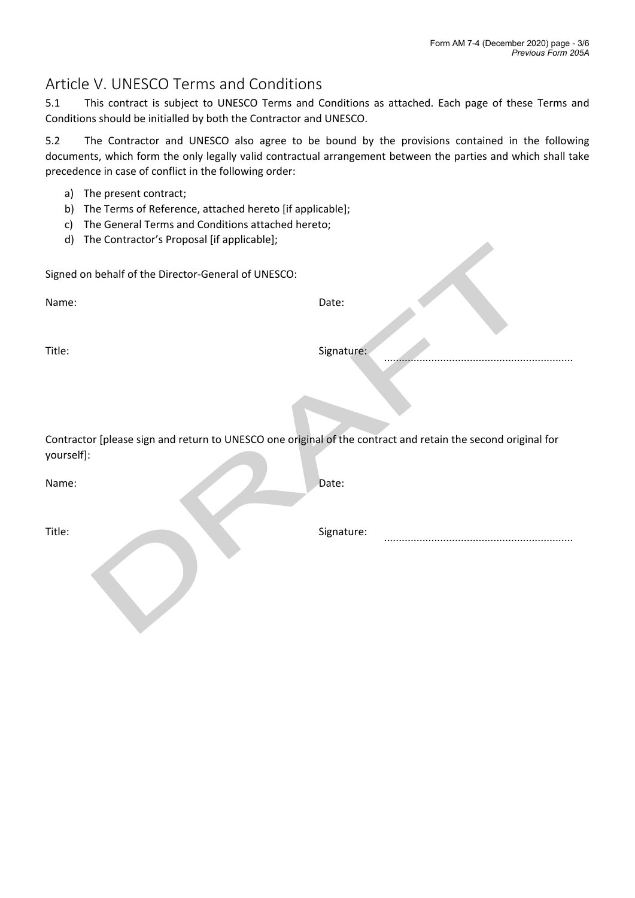# Article V. UNESCO Terms and Conditions

5.1 This contract is subject to UNESCO Terms and Conditions as attached. Each page of these Terms and Conditions should be initialled by both the Contractor and UNESCO.

5.2 The Contractor and UNESCO also agree to be bound by the provisions contained in the following documents, which form the only legally valid contractual arrangement between the parties and which shall take precedence in case of conflict in the following order:

- a) The present contract;
- b) The Terms of Reference, attached hereto [if applicable];
- c) The General Terms and Conditions attached hereto;
- d) The Contractor's Proposal [if applicable];

Signed on behalf of the Director-General of UNESCO:

Name: Date:

Title: Signature: Signature: Signature: Signature: Signature: Signature: Signature: Signature: Signature: Signature: Signature: Signature: Signature: Signature: Signature: Signature: Signature: Signature: Signature: Signat

Contractor [please sign and return to UNESCO one original of the contract and retain the second original for yourself]:

Name: Date:

Title: Signature: Signature: ................................................................

................................................................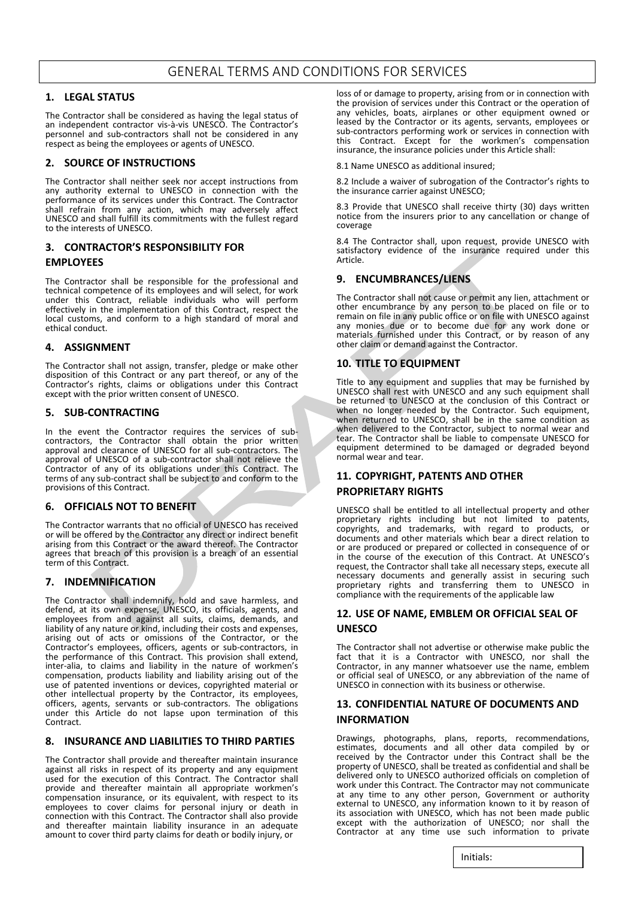# GENERAL TERMS AND CONDITIONS FOR SERVICES

#### **1. LEGAL STATUS**

The Contractor shall be considered as having the legal status of an independent contractor vis-à-vis UNESCO. The Contractor's personnel and sub-contractors shall not be considered in any respect as being the employees or agents of UNESCO.

#### **2. SOURCE OF INSTRUCTIONS**

The Contractor shall neither seek nor accept instructions from any authority external to UNESCO in connection with the performance of its services under this Contract. The Contractor shall refrain from any action, which may adversely affect UNESCO and shall fulfill its commitments with the fullest regard to the interests of UNESCO.

### **3. CONTRACTOR'S RESPONSIBILITY FOR EMPLOYEES**

The Contractor shall be responsible for the professional and technical competence of its employees and will select, for work under this Contract, reliable individuals who will perform effectively in the implementation of this Contract, respect the local customs, and conform to a high standard of moral and ethical conduct.

#### **4. ASSIGNMENT**

The Contractor shall not assign, transfer, pledge or make other disposition of this Contract or any part thereof, or any of the Contractor's rights, claims or obligations under this Contract except with the prior written consent of UNESCO.

#### **5. SUB-CONTRACTING**

In the event the Contractor requires the services of subcontractors, the Contractor shall obtain the prior written approval and clearance of UNESCO for all sub-contractors. The approval of UNESCO of a sub-contractor shall not relieve the Contractor of any of its obligations under this Contract. The terms of any sub-contract shall be subject to and conform to the provisions of this Contract.

#### **6. OFFICIALS NOT TO BENEFIT**

The Contractor warrants that no official of UNESCO has received or will be offered by the Contractor any direct or indirect benefit arising from this Contract or the award thereof. The Contractor agrees that breach of this provision is a breach of an essential term of this Contract.

#### **7. INDEMNIFICATION**

The Contractor shall indemnify, hold and save harmless, and defend, at its own expense, UNESCO, its officials, agents, and employees from and against all suits, claims, demands, and liability of any nature or kind, including their costs and expenses, arising out of acts or omissions of the Contractor, or the Contractor's employees, officers, agents or sub-contractors, in the performance of this Contract. This provision shall extend, inter-alia, to claims and liability in the nature of workmen's compensation, products liability and liability arising out of the use of patented inventions or devices, copyrighted material or other intellectual property by the Contractor, its employees, officers, agents, servants or sub-contractors. The obligations under this Article do not lapse upon termination of this **Contract** 

#### **8. INSURANCE AND LIABILITIES TO THIRD PARTIES**

The Contractor shall provide and thereafter maintain insurance against all risks in respect of its property and any equipment used for the execution of this Contract. The Contractor shall provide and thereafter maintain all appropriate workmen's compensation insurance, or its equivalent, with respect to its employees to cover claims for personal injury or death in connection with this Contract. The Contractor shall also provide and thereafter maintain liability insurance in an adequate amount to cover third party claims for death or bodily injury, or

loss of or damage to property, arising from or in connection with the provision of services under this Contract or the operation of any vehicles, boats, airplanes or other equipment owned or leased by the Contractor or its agents, servants, employees or sub-contractors performing work or services in connection with this Contract. Except for the workmen's compensation insurance, the insurance policies under this Article shall:

8.1 Name UNESCO as additional insured;

8.2 Include a waiver of subrogation of the Contractor's rights to the insurance carrier against UNESCO;

8.3 Provide that UNESCO shall receive thirty (30) days written notice from the insurers prior to any cancellation or change of coverage

8.4 The Contractor shall, upon request, provide UNESCO with satisfactory evidence of the insurance required under this Article.

#### **9. ENCUMBRANCES/LIENS**

The Contractor shall not cause or permit any lien, attachment or other encumbrance by any person to be placed on file or to remain on file in any public office or on file with UNESCO against any monies due or to become due for any work done or materials furnished under this Contract, or by reason of any other claim or demand against the Contractor.

#### **10. TITLE TO EQUIPMENT**

Title to any equipment and supplies that may be furnished by UNESCO shall rest with UNESCO and any such equipment shall be returned to UNESCO at the conclusion of this Contract or when no longer needed by the Contractor. Such equipment, when returned to UNESCO, shall be in the same condition as when delivered to the Contractor, subject to normal wear and tear. The Contractor shall be liable to compensate UNESCO for equipment determined to be damaged or degraded beyond normal wear and tear.

## **11. COPYRIGHT, PATENTS AND OTHER PROPRIETARY RIGHTS**

UNESCO shall be entitled to all intellectual property and other proprietary rights including but not limited to patents, copyrights, and trademarks, with regard to products, or documents and other materials which bear a direct relation to or are produced or prepared or collected in consequence of or in the course of the execution of this Contract. At UNESCO's request, the Contractor shall take all necessary steps, execute all necessary documents and generally assist in securing such proprietary rights and transferring them to UNESCO in compliance with the requirements of the applicable law

#### **12. USE OF NAME, EMBLEM OR OFFICIAL SEAL OF UNESCO**

The Contractor shall not advertise or otherwise make public the fact that it is a Contractor with UNESCO, nor shall the Contractor, in any manner whatsoever use the name, emblem or official seal of UNESCO, or any abbreviation of the name of UNESCO in connection with its business or otherwise.

### **13. CONFIDENTIAL NATURE OF DOCUMENTS AND INFORMATION**

Drawings, photographs, plans, reports, recommendations, estimates, documents and all other data compiled by or received by the Contractor under this Contract shall be the property of UNESCO, shall be treated as confidential and shall be delivered only to UNESCO authorized officials on completion of work under this Contract. The Contractor may not communicate at any time to any other person, Government or authority external to UNESCO, any information known to it by reason of its association with UNESCO, which has not been made public except with the authorization of UNESCO; nor shall the Contractor at any time use such information to private

Initials: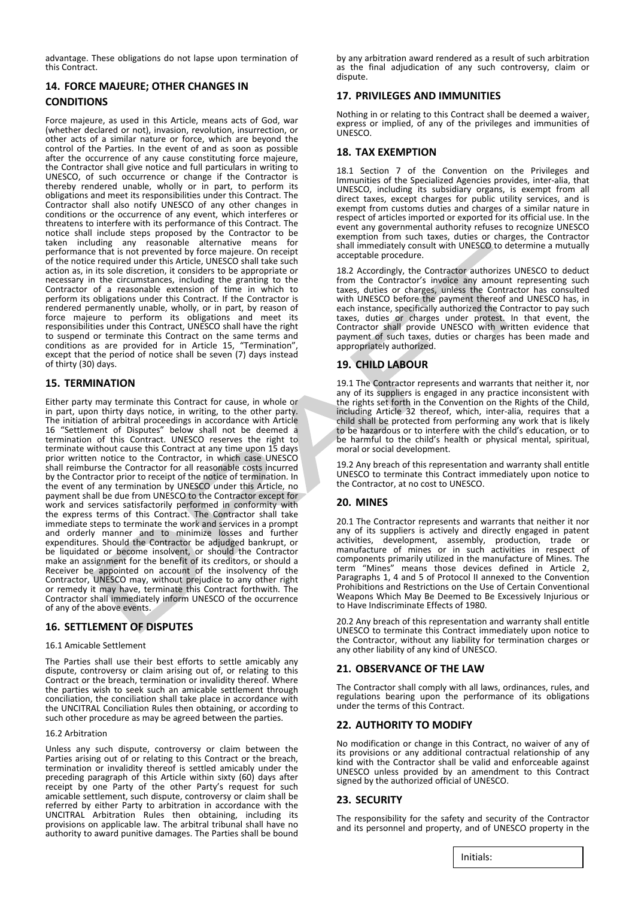advantage. These obligations do not lapse upon termination of this Contract.

## **14. FORCE MAJEURE; OTHER CHANGES IN CONDITIONS**

Force majeure, as used in this Article, means acts of God, war (whether declared or not), invasion, revolution, insurrection, or other acts of a similar nature or force, which are beyond the control of the Parties. In the event of and as soon as possible after the occurrence of any cause constituting force majeure, the Contractor shall give notice and full particulars in writing to UNESCO, of such occurrence or change if the Contractor is thereby rendered unable, wholly or in part, to perform its obligations and meet its responsibilities under this Contract. The Contractor shall also notify UNESCO of any other changes in conditions or the occurrence of any event, which interferes or threatens to interfere with its performance of this Contract. The notice shall include steps proposed by the Contractor to be taken including any reasonable alternative means for performance that is not prevented by force majeure. On receipt of the notice required under this Article, UNESCO shall take such action as, in its sole discretion, it considers to be appropriate or necessary in the circumstances, including the granting to the Contractor of a reasonable extension of time in which to perform its obligations under this Contract. If the Contractor is rendered permanently unable, wholly, or in part, by reason of force majeure to perform its obligations and meet its responsibilities under this Contract, UNESCO shall have the right to suspend or terminate this Contract on the same terms and conditions as are provided for in Article 15, "Termination", except that the period of notice shall be seven (7) days instead of thirty (30) days.

### **15. TERMINATION**

Either party may terminate this Contract for cause, in whole or in part, upon thirty days notice, in writing, to the other party. The initiation of arbitral proceedings in accordance with Article 16 "Settlement of Disputes" below shall not be deemed a termination of this Contract. UNESCO reserves the right to terminate without cause this Contract at any time upon 15 days prior written notice to the Contractor, in which case UNESCO shall reimburse the Contractor for all reasonable costs incurred by the Contractor prior to receipt of the notice of termination. In the event of any termination by UNESCO under this Article, no payment shall be due from UNESCO to the Contractor except for work and services satisfactorily performed in conformity with the express terms of this Contract. The Contractor shall take immediate steps to terminate the work and services in a prompt and orderly manner and to minimize losses and further expenditures. Should the Contractor be adjudged bankrupt, or be liquidated or become insolvent, or should the Contractor make an assignment for the benefit of its creditors, or should a Receiver be appointed on account of the insolvency of the Contractor, UNESCO may, without prejudice to any other right or remedy it may have, terminate this Contract forthwith. The Contractor shall immediately inform UNESCO of the occurrence of any of the above events.

#### **16. SETTLEMENT OF DISPUTES**

#### 16.1 Amicable Settlement

The Parties shall use their best efforts to settle amicably any dispute, controversy or claim arising out of, or relating to this Contract or the breach, termination or invalidity thereof. Where the parties wish to seek such an amicable settlement through conciliation, the conciliation shall take place in accordance with the UNCITRAL Conciliation Rules then obtaining, or according to such other procedure as may be agreed between the parties.

#### 16.2 Arbitration

Unless any such dispute, controversy or claim between the Parties arising out of or relating to this Contract or the breach, termination or invalidity thereof is settled amicably under the preceding paragraph of this Article within sixty (60) days after receipt by one Party of the other Party's request for such amicable settlement, such dispute, controversy or claim shall be referred by either Party to arbitration in accordance with the UNCITRAL Arbitration Rules then obtaining, including its provisions on applicable law. The arbitral tribunal shall have no authority to award punitive damages. The Parties shall be bound

by any arbitration award rendered as a result of such arbitration as the final adjudication of any such controversy, claim or dispute.

#### **17. PRIVILEGES AND IMMUNITIES**

Nothing in or relating to this Contract shall be deemed a waiver, express or implied, of any of the privileges and immunities of UNESCO.

#### **18. TAX EXEMPTION**

18.1 Section 7 of the Convention on the Privileges and Immunities of the Specialized Agencies provides, inter-alia, that UNESCO, including its subsidiary organs, is exempt from all direct taxes, except charges for public utility services, and is exempt from customs duties and charges of a similar nature in respect of articles imported or exported for its official use. In the event any governmental authority refuses to recognize UNESCO exemption from such taxes, duties or charges, the Contractor shall immediately consult with UNESCO to determine a mutually acceptable procedure.

18.2 Accordingly, the Contractor authorizes UNESCO to deduct from the Contractor's invoice any amount representing such taxes, duties or charges, unless the Contractor has consulted with UNESCO before the payment thereof and UNESCO has, in each instance, specifically authorized the Contractor to pay such taxes, duties or charges under protest. In that event, the Contractor shall provide UNESCO with written evidence that payment of such taxes, duties or charges has been made and appropriately authorized.

#### **19. CHILD LABOUR**

19.1 The Contractor represents and warrants that neither it, nor any of its suppliers is engaged in any practice inconsistent with the rights set forth in the Convention on the Rights of the Child, including Article 32 thereof, which, inter-alia, requires that a child shall be protected from performing any work that is likely to be hazardous or to interfere with the child's education, or to be harmful to the child's health or physical mental, spiritual, moral or social development.

19.2 Any breach of this representation and warranty shall entitle UNESCO to terminate this Contract immediately upon notice to the Contractor, at no cost to UNESCO.

#### **20. MINES**

20.1 The Contractor represents and warrants that neither it nor any of its suppliers is actively and directly engaged in patent activities, development, assembly, production, trade or manufacture of mines or in such activities in respect of components primarily utilized in the manufacture of Mines. The term "Mines" means those devices defined in Article 2, Paragraphs 1, 4 and 5 of Protocol II annexed to the Convention Prohibitions and Restrictions on the Use of Certain Conventional Weapons Which May Be Deemed to Be Excessively Injurious or to Have Indiscriminate Effects of 1980.

20.2 Any breach of this representation and warranty shall entitle UNESCO to terminate this Contract immediately upon notice to the Contractor, without any liability for termination charges or any other liability of any kind of UNESCO.

#### **21. OBSERVANCE OF THE LAW**

The Contractor shall comply with all laws, ordinances, rules, and regulations bearing upon the performance of its obligations under the terms of this Contract.

#### **22. AUTHORITY TO MODIFY**

No modification or change in this Contract, no waiver of any of its provisions or any additional contractual relationship of any kind with the Contractor shall be valid and enforceable against UNESCO unless provided by an amendment to this Contract signed by the authorized official of UNESCO.

#### **23. SECURITY**

The responsibility for the safety and security of the Contractor and its personnel and property, and of UNESCO property in the